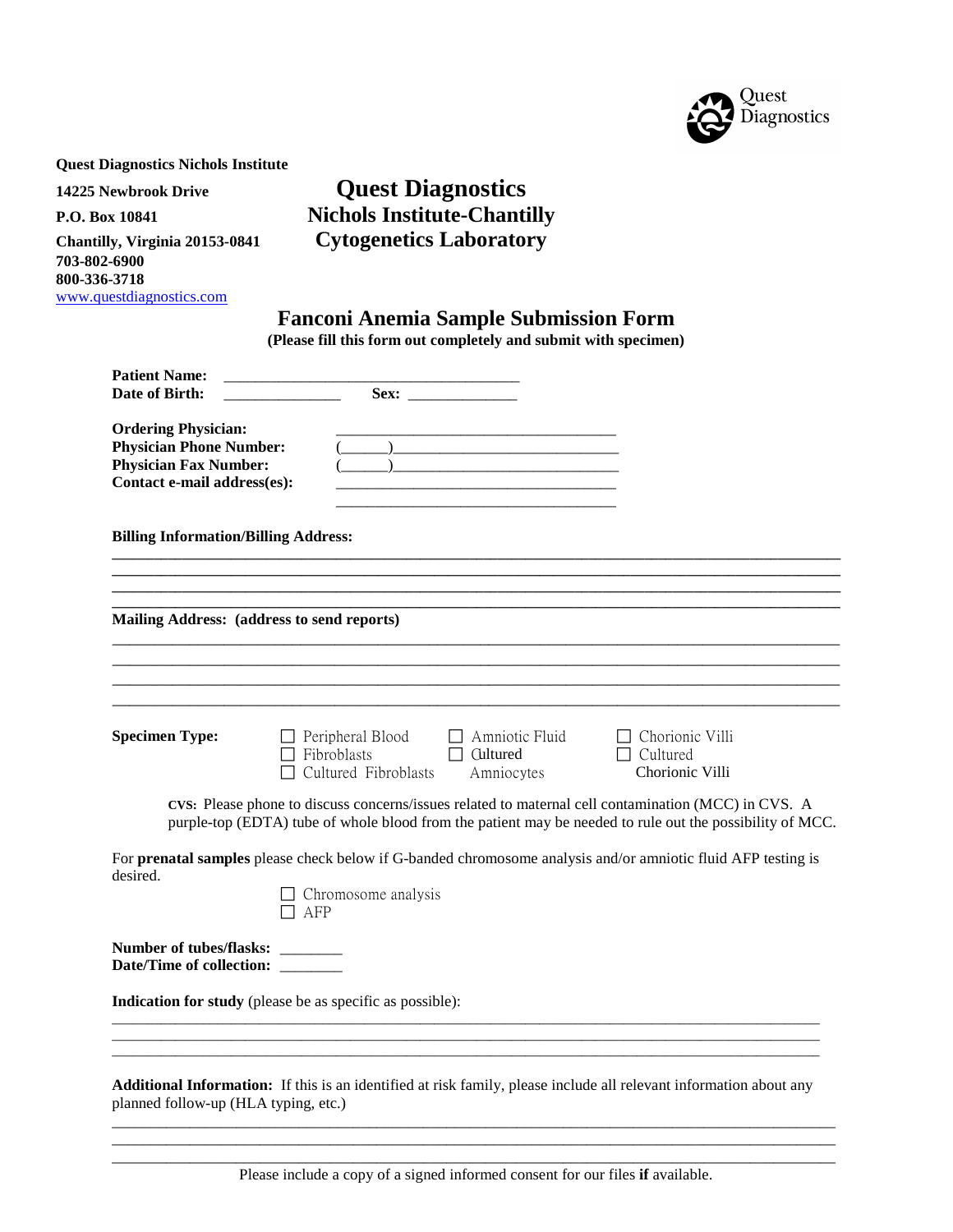

**Quest Diagnostics Nichols Institute**

**703-802-6900 800-336-3718** [www.questdiagnostics.com](http://www.questdiagnostics.com/)

# **14225 Newbrook Drive Quest Diagnostics P.O. Box 10841 Nichols Institute-Chantilly Chantilly, Virginia 20153-0841 Cytogenetics Laboratory**

## **Fanconi Anemia Sample Submission Form**

**(Please fill this form out completely and submit with specimen)**

| <b>Patient Name:</b><br>Date of Birth:                                                                                      |                                                                              |                                                 |                                                                                                                                                                                                                 |
|-----------------------------------------------------------------------------------------------------------------------------|------------------------------------------------------------------------------|-------------------------------------------------|-----------------------------------------------------------------------------------------------------------------------------------------------------------------------------------------------------------------|
| <b>Ordering Physician:</b><br><b>Physician Phone Number:</b><br><b>Physician Fax Number:</b><br>Contact e-mail address(es): |                                                                              |                                                 |                                                                                                                                                                                                                 |
| <b>Billing Information/Billing Address:</b>                                                                                 |                                                                              |                                                 |                                                                                                                                                                                                                 |
|                                                                                                                             |                                                                              |                                                 |                                                                                                                                                                                                                 |
| Mailing Address: (address to send reports)                                                                                  |                                                                              |                                                 |                                                                                                                                                                                                                 |
|                                                                                                                             |                                                                              |                                                 |                                                                                                                                                                                                                 |
|                                                                                                                             |                                                                              |                                                 |                                                                                                                                                                                                                 |
| <b>Specimen Type:</b>                                                                                                       | $\Box$ Peripheral Blood<br>$\Box$ Fibroblasts<br>$\Box$ Cultured Fibroblasts | Amniotic Fluid<br>$\Box$ Cultured<br>Amniocytes | $\Box$ Chorionic Villi<br>$\Box$ Cultured<br>Chorionic Villi                                                                                                                                                    |
|                                                                                                                             |                                                                              |                                                 | CVS: Please phone to discuss concerns/issues related to maternal cell contamination (MCC) in CVS. A<br>purple-top (EDTA) tube of whole blood from the patient may be needed to rule out the possibility of MCC. |
| desired.                                                                                                                    | $\Box$ Chromosome analysis<br>$\Box$ AFP                                     |                                                 | For prenatal samples please check below if G-banded chromosome analysis and/or amniotic fluid AFP testing is                                                                                                    |
| Number of tubes/flasks: ________<br>Date/Time of collection: _______                                                        |                                                                              |                                                 |                                                                                                                                                                                                                 |
|                                                                                                                             | <b>Indication for study</b> (please be as specific as possible):             |                                                 |                                                                                                                                                                                                                 |
| planned follow-up (HLA typing, etc.)                                                                                        |                                                                              |                                                 | Additional Information: If this is an identified at risk family, please include all relevant information about any                                                                                              |

\_\_\_\_\_\_\_\_\_\_\_\_\_\_\_\_\_\_\_\_\_\_\_\_\_\_\_\_\_\_\_\_\_\_\_\_\_\_\_\_\_\_\_\_\_\_\_\_\_\_\_\_\_\_\_\_\_\_\_\_\_\_\_\_\_\_\_\_\_\_\_\_\_\_\_\_\_\_\_\_\_\_\_\_\_\_\_\_\_\_\_\_\_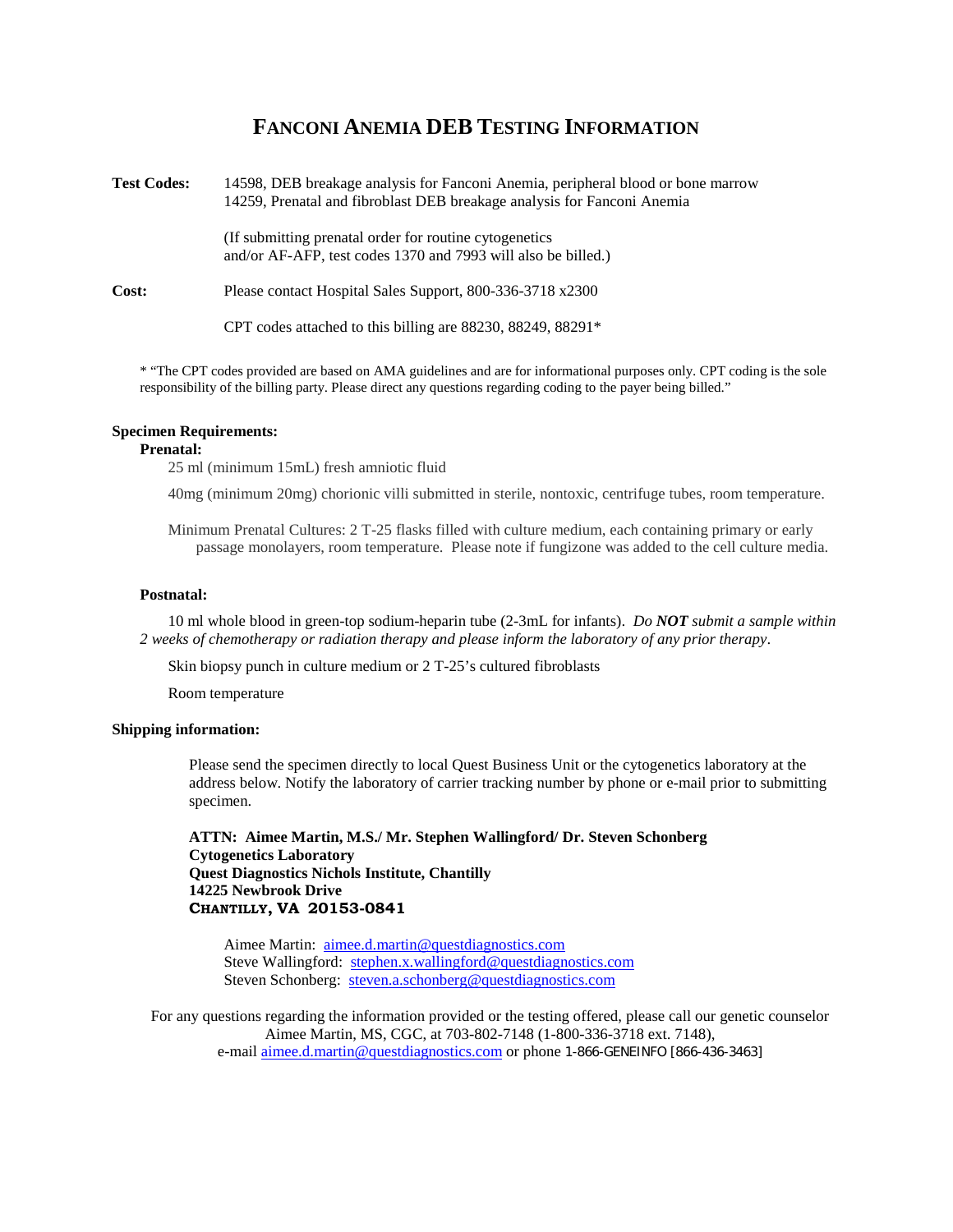## **FANCONI ANEMIA DEB TESTING INFORMATION**



\* "The CPT codes provided are based on AMA guidelines and are for informational purposes only. CPT coding is the sole responsibility of the billing party. Please direct any questions regarding coding to the payer being billed."

### **Specimen Requirements:**

#### **Prenatal:**

25 ml (minimum 15mL) fresh amniotic fluid

40mg (minimum 20mg) chorionic villi submitted in sterile, nontoxic, centrifuge tubes, room temperature.

Minimum Prenatal Cultures: 2 T-25 flasks filled with culture medium, each containing primary or early passage monolayers, room temperature. Please note if fungizone was added to the cell culture media.

#### **Postnatal:**

10 ml whole blood in green-top sodium-heparin tube (2-3mL for infants). *Do NOT submit a sample within 2 weeks of chemotherapy or radiation therapy and please inform the laboratory of any prior therapy*.

Skin biopsy punch in culture medium or 2 T-25's cultured fibroblasts

Room temperature

### **Shipping information:**

Please send the specimen directly to local Quest Business Unit or the cytogenetics laboratory at the address below. Notify the laboratory of carrier tracking number by phone or e-mail prior to submitting specimen.

**ATTN: Aimee Martin, M.S./ Mr. Stephen Wallingford/ Dr. Steven Schonberg Cytogenetics Laboratory Quest Diagnostics Nichols Institute, Chantilly 14225 Newbrook Drive CHANTILLY, VA 20153-0841**

Aimee Martin: [aimee.d.martin@questdiagnostics.com](mailto:aimee.d.martin@questdiagnostics.com) Steve Wallingford: [stephen.x.wallingford@questdiagnostics.com](mailto:stephen.x.wallingford@questdiagnostics.com) Steven Schonberg: [steven.a.schonberg@questdiagnostics.com](mailto:steven.a.schonberg@questdiagnostics.com)

For any questions regarding the information provided or the testing offered, please call our genetic counselor Aimee Martin, MS, CGC, at 703-802-7148 (1-800-336-3718 ext. 7148), e-mail *aimee.d.martin@questdiagnostics.com* or phone 1-866-GENEINFO [866-436-3463]